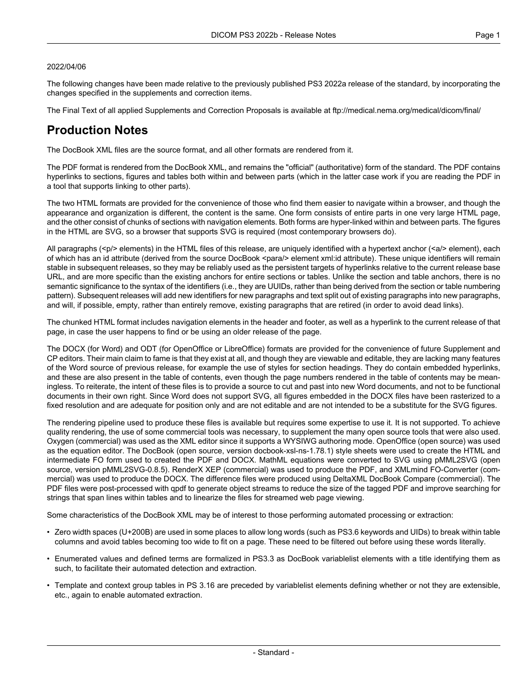#### 2022/04/06

The following changes have been made relative to the previously published PS3 2022a release of the standard, by incorporating the changes specified in the supplements and correction items.

The Final Text of all applied Supplements and Correction Proposals is available at <ftp://medical.nema.org/medical/dicom/final/>

# **Production Notes**

The DocBook XML files are the source format, and all other formats are rendered from it.

The PDF format is rendered from the DocBook XML, and remains the "official" (authoritative) form of the standard. The PDF contains hyperlinks to sections, figures and tables both within and between parts (which in the latter case work if you are reading the PDF in a tool that supports linking to other parts).

The two HTML formats are provided for the convenience of those who find them easier to navigate within a browser, and though the appearance and organization is different, the content is the same. One form consists of entire parts in one very large HTML page, and the other consist of chunks of sections with navigation elements. Both forms are hyper-linked within and between parts. The figures in the HTML are SVG, so a browser that supports SVG is required (most contemporary browsers do).

All paragraphs (<p/> elements) in the HTML files of this release, are uniquely identified with a hypertext anchor (<a/><a/>> element), each of which has an id attribute (derived from the source DocBook <para/> element xml:id attribute). These unique identifiers will remain stable in subsequent releases, so they may be reliably used as the persistent targets of hyperlinks relative to the current release base URL, and are more specific than the existing anchors for entire sections or tables. Unlike the section and table anchors, there is no semantic significance to the syntax of the identifiers (i.e., they are UUIDs, rather than being derived from the section or table numbering pattern). Subsequent releases will add new identifiers for new paragraphs and text split out of existing paragraphs into new paragraphs, and will, if possible, empty, rather than entirely remove, existing paragraphs that are retired (in order to avoid dead links).

The chunked HTML format includes navigation elements in the header and footer, as well as a hyperlink to the current release of that page, in case the user happens to find or be using an older release of the page.

The DOCX (for Word) and ODT (for OpenOffice or LibreOffice) formats are provided for the convenience of future Supplement and CP editors. Their main claim to fame is that they exist at all, and though they are viewable and editable, they are lacking many features of the Word source of previous release, for example the use of styles for section headings. They do contain embedded hyperlinks, and these are also present in the table of contents, even though the page numbers rendered in the table of contents may be mean ingless. To reiterate, the intent of these files is to provide a source to cut and past into new Word documents, and not to be functional documents in their own right. Since Word does not support SVG, all figures embedded in the DOCX files have been rasterized to a fixed resolution and are adequate for position only and are not editable and are not intended to be a substitute for the SVG figures.

The rendering pipeline used to produce these files is available but requires some expertise to use it. It is not supported. To achieve quality rendering, the use of some commercial tools was necessary, to supplement the many open source tools that were also used. Oxygen (commercial) was used as the XML editor since it supports a WYSIWG authoring mode. OpenOffice (open source) was used as the equation editor. The DocBook (open source, version docbook-xsl-ns-1.78.1) style sheets were used to create the HTML and intermediate FO form used to created the PDF and DOCX. MathML equations were converted to SVG using pMML2SVG (open source, version pMML2SVG-0.8.5). RenderX XEP (commercial) was used to produce the PDF, and XMLmind FO-Converter (com mercial) was used to produce the DOCX. The difference files were produced using DeltaXML DocBook Compare (commercial). The PDF files were post-processed with qpdf to generate object streams to reduce the size of the tagged PDF and improve searching for strings that span lines within tables and to linearize the files for streamed web page viewing.

Some characteristics of the DocBook XML may be of interest to those performing automated processing or extraction:

- Zero width spaces (U+200B) are used in some places to allow long words (such as PS3.6 keywords and UIDs) to break within table columns and avoid tables becoming too wide to fit on a page. These need to be filtered out before using these words literally.
- Enumerated values and defined terms are formalized in PS3.3 as DocBook variablelist elements with a title identifying them as such, to facilitate their automated detection and extraction.
- Template and context group tables in PS 3.16 are preceded by variablelist elements defining whether or not they are extensible, etc., again to enable automated extraction.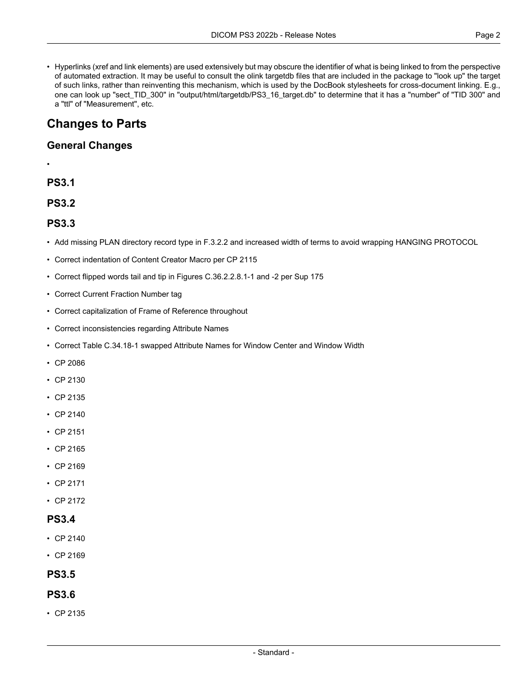• Hyperlinks (xref and link elements) are used extensively but may obscure the identifier of what is being linked to from the perspective of automated extraction. It may be useful to consult the olink targetdb files that are included in the package to "look up" the target of such links, rather than reinventing this mechanism, which is used by the DocBook stylesheets for cross-document linking. E.g., one can look up "sect\_TID\_300" in "output/html/targetdb/PS3\_16\_target.db" to determine that it has a "number" of "TID 300" and a "ttl" of "Measurement", etc.

# **Changes to Parts**

## **General Changes**

### **PS3.1**

•

**PS3.2**

### **PS3.3**

- Add missing PLAN directory record type in F.3.2.2 and increased width of terms to avoid wrapping HANGING PROTOCOL
- Correct indentation of Content Creator Macro per CP 2115
- Correct flipped words tail and tip in Figures C.36.2.2.8.1-1 and -2 per Sup 175
- Correct Current Fraction Number tag
- Correct capitalization of Frame of Reference throughout
- Correct inconsistencies regarding Attribute Names
- Correct Table C.34.18-1 swapped Attribute Names for Window Center and Window Width
- CP [2086](#page-3-0)
- CP [2130](#page-3-1)
- CP [2135](#page-3-2)
- CP [2140](#page-3-3)
- CP [2151](#page-3-4)
- CP [2165](#page-3-5)
- CP [2169](#page-3-6)
- CP [2171](#page-3-7)
- CP [2172](#page-3-8)

### **PS3.4**

- CP [2140](#page-3-3)
- CP [2169](#page-3-6)

# **PS3.5**

## **PS3.6**

• CP [2135](#page-3-2)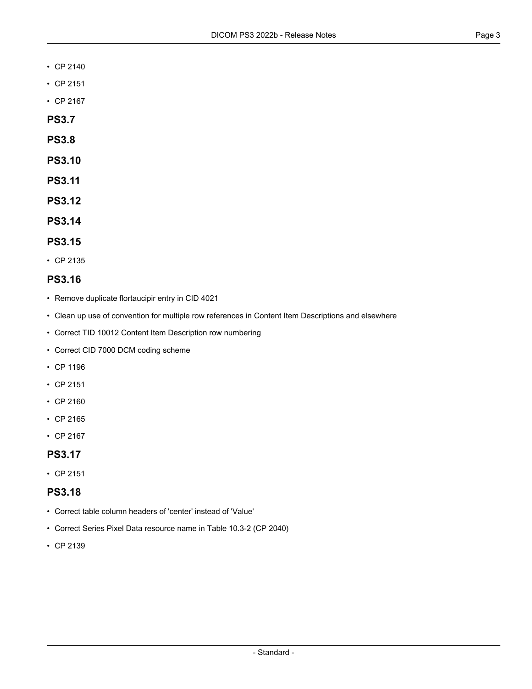- CP [2140](#page-3-3)
- CP [2151](#page-3-4)
- CP [2167](#page-3-9)
- **PS3.7**
- **PS3.8**
- **PS3.10**
- **PS3.11**
- **PS3.12**
- **PS3.14**

#### **PS3.15**

• CP [2135](#page-3-2)

### **PS3.16**

- Remove duplicate flortaucipir entry in CID 4021
- Clean up use of convention for multiple row references in Content Item Descriptions and elsewhere
- Correct TID 10012 Content Item Description row numbering
- Correct CID 7000 DCM coding scheme
- CP [1196](#page-3-10)
- CP [2151](#page-3-4)
- CP [2160](#page-3-11)
- CP [2165](#page-3-5)
- CP [2167](#page-3-9)

## **PS3.17**

• CP [2151](#page-3-4)

#### **PS3.18**

- Correct table column headers of 'center' instead of 'Value'
- Correct Series Pixel Data resource name in Table 10.3-2 (CP 2040)
- CP [2139](#page-3-12)